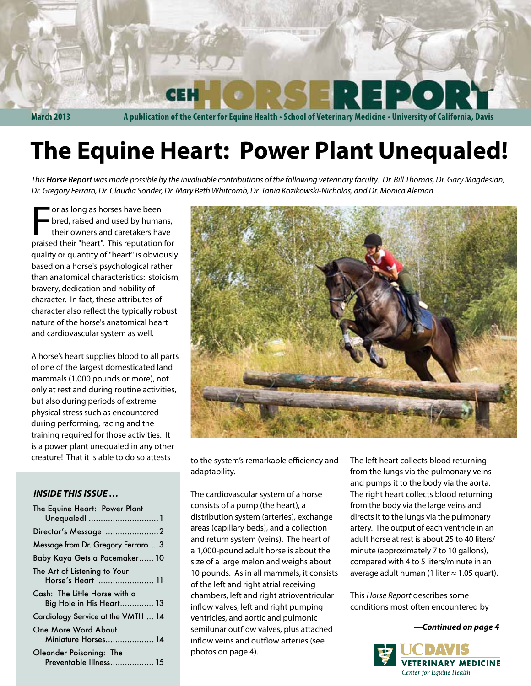

# **The Equine Heart: Power Plant Unequaled!**

*This Horse Report was made possible by the invaluable contributions of the following veterinary faculty: Dr. Bill Thomas, Dr. Gary Magdesian, Dr. Gregory Ferraro, Dr. Claudia Sonder, Dr. Mary Beth Whitcomb, Dr. Tania Kozikowski-Nicholas, and Dr. Monica Aleman.*

**Franch Control as a sum in the set of the set of the set of the set of the set of their owners and caretakers have praised their "heart". This reputation for** or as long as horses have been bred, raised and used by humans, their owners and caretakers have quality or quantity of "heart" is obviously based on a horse's psychological rather than anatomical characteristics: stoicism, bravery, dedication and nobility of character. In fact, these attributes of character also reflect the typically robust nature of the horse's anatomical heart and cardiovascular system as well.

A horse's heart supplies blood to all parts of one of the largest domesticated land mammals (1,000 pounds or more), not only at rest and during routine activities, but also during periods of extreme physical stress such as encountered during performing, racing and the training required for those activities. It is a power plant unequaled in any other creature! That it is able to do so attests to the system's remarkable efficiency and

#### *INSIDE THIS ISSUE …*

| The Equine Heart: Power Plant                             |
|-----------------------------------------------------------|
| Unequaled! 1                                              |
| Director's Message 2                                      |
| Message from Dr. Gregory Ferraro 3                        |
| Baby Kaya Gets a Pacemaker 10                             |
| The Art of Listening to Your<br>Horse's Heart  11         |
| Cash: The Little Horse with a<br>Big Hole in His Heart 13 |
| Cardiology Service at the VMTH  14                        |
| One More Word About<br>Miniature Horses 14                |
| Oleander Poisoning: The<br>Preventable Illness 15         |



adaptability.

The cardiovascular system of a horse consists of a pump (the heart), a distribution system (arteries), exchange areas (capillary beds), and a collection and return system (veins). The heart of a 1,000-pound adult horse is about the size of a large melon and weighs about 10 pounds. As in all mammals, it consists of the left and right atrial receiving chambers, left and right atrioventricular inflow valves, left and right pumping ventricles, and aortic and pulmonic semilunar outflow valves, plus attached inflow veins and outflow arteries (see photos on page 4).

The left heart collects blood returning from the lungs via the pulmonary veins and pumps it to the body via the aorta. The right heart collects blood returning from the body via the large veins and directs it to the lungs via the pulmonary artery. The output of each ventricle in an adult horse at rest is about 25 to 40 liters/ minute (approximately 7 to 10 gallons), compared with 4 to 5 liters/minute in an average adult human (1 liter  $\approx$  1.05 quart).

This *Horse Report* describes some conditions most often encountered by

*—Continued on page 4*

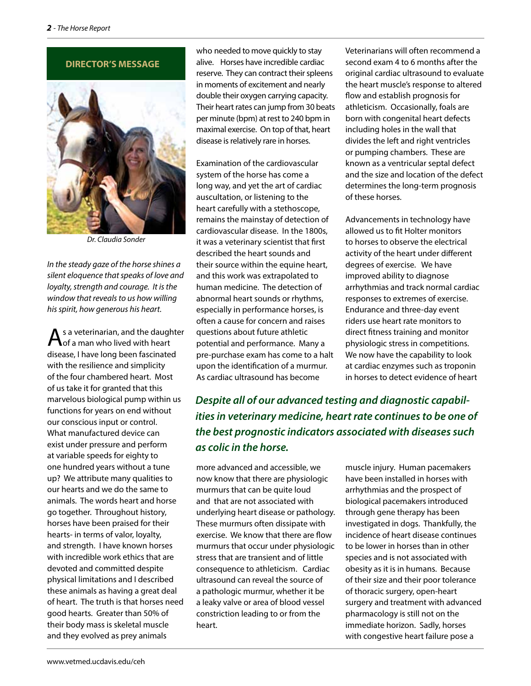### **DIRECTOR'S MESSAGE**



*Dr. Claudia Sonder*

*In the steady gaze of the horse shines a silent eloquence that speaks of love and loyalty, strength and courage. It is the window that reveals to us how willing his spirit, how generous his heart.*

 $\mathbf A$ s a veterinarian, and the daughter<br> $\mathbf A$ of a man who lived with heart disease, I have long been fascinated with the resilience and simplicity of the four chambered heart. Most of us take it for granted that this marvelous biological pump within us functions for years on end without our conscious input or control. What manufactured device can exist under pressure and perform at variable speeds for eighty to one hundred years without a tune up? We attribute many qualities to our hearts and we do the same to animals. The words heart and horse go together. Throughout history, horses have been praised for their hearts- in terms of valor, loyalty, and strength. I have known horses with incredible work ethics that are devoted and committed despite physical limitations and I described these animals as having a great deal of heart. The truth is that horses need good hearts. Greater than 50% of their body mass is skeletal muscle and they evolved as prey animals

who needed to move quickly to stay alive. Horses have incredible cardiac reserve. They can contract their spleens in moments of excitement and nearly double their oxygen carrying capacity. Their heart rates can jump from 30 beats per minute (bpm) at rest to 240 bpm in maximal exercise. On top of that, heart disease is relatively rare in horses.

Examination of the cardiovascular system of the horse has come a long way, and yet the art of cardiac auscultation, or listening to the heart carefully with a stethoscope, remains the mainstay of detection of cardiovascular disease. In the 1800s, it was a veterinary scientist that first described the heart sounds and their source within the equine heart, and this work was extrapolated to human medicine. The detection of abnormal heart sounds or rhythms, especially in performance horses, is often a cause for concern and raises questions about future athletic potential and performance. Many a pre-purchase exam has come to a halt upon the identification of a murmur. As cardiac ultrasound has become

Veterinarians will often recommend a second exam 4 to 6 months after the original cardiac ultrasound to evaluate the heart muscle's response to altered flow and establish prognosis for athleticism. Occasionally, foals are born with congenital heart defects including holes in the wall that divides the left and right ventricles or pumping chambers. These are known as a ventricular septal defect and the size and location of the defect determines the long-term prognosis of these horses.

Advancements in technology have allowed us to fit Holter monitors to horses to observe the electrical activity of the heart under different degrees of exercise. We have improved ability to diagnose arrhythmias and track normal cardiac responses to extremes of exercise. Endurance and three-day event riders use heart rate monitors to direct fitness training and monitor physiologic stress in competitions. We now have the capability to look at cardiac enzymes such as troponin in horses to detect evidence of heart

*Despite all of our advanced testing and diagnostic capabilities in veterinary medicine, heart rate continues to be one of the best prognostic indicators associated with diseases such as colic in the horse.*

more advanced and accessible, we now know that there are physiologic murmurs that can be quite loud and that are not associated with underlying heart disease or pathology. These murmurs often dissipate with exercise. We know that there are flow murmurs that occur under physiologic stress that are transient and of little consequence to athleticism. Cardiac ultrasound can reveal the source of a pathologic murmur, whether it be a leaky valve or area of blood vessel constriction leading to or from the heart.

muscle injury. Human pacemakers have been installed in horses with arrhythmias and the prospect of biological pacemakers introduced through gene therapy has been investigated in dogs. Thankfully, the incidence of heart disease continues to be lower in horses than in other species and is not associated with obesity as it is in humans. Because of their size and their poor tolerance of thoracic surgery, open-heart surgery and treatment with advanced pharmacology is still not on the immediate horizon. Sadly, horses with congestive heart failure pose a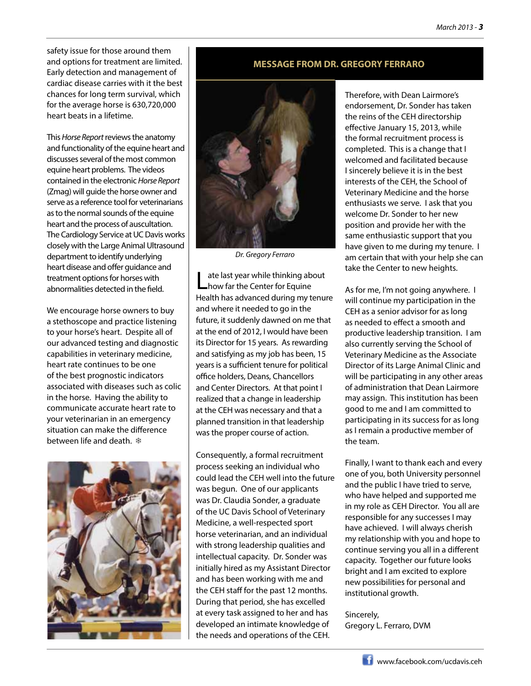safety issue for those around them and options for treatment are limited. Early detection and management of cardiac disease carries with it the best chances for long term survival, which for the average horse is 630,720,000 heart beats in a lifetime.

This *Horse Report* reviews the anatomy and functionality of the equine heart and discusses several of the most common equine heart problems. The videos contained in the electronic *Horse Report* (Zmag) will guide the horse owner and serve as a reference tool for veterinarians as to the normal sounds of the equine heart and the process of auscultation. The Cardiology Service at UC Davis works closely with the Large Animal Ultrasound department to identify underlying heart disease and offer guidance and treatment options for horses with abnormalities detected in the field.

We encourage horse owners to buy a stethoscope and practice listening to your horse's heart. Despite all of our advanced testing and diagnostic capabilities in veterinary medicine, heart rate continues to be one of the best prognostic indicators associated with diseases such as colic in the horse. Having the ability to communicate accurate heart rate to your veterinarian in an emergency situation can make the difference between life and death.  $\ast$ 



#### **MESSAGE FROM DR. GREGORY FERRARO**



*Dr. Gregory Ferraro*

ate last year while thinking about how far the Center for Equine Health has advanced during my tenure and where it needed to go in the future, it suddenly dawned on me that at the end of 2012, I would have been its Director for 15 years. As rewarding and satisfying as my job has been, 15 years is a sufficient tenure for political office holders, Deans, Chancellors and Center Directors. At that point I realized that a change in leadership at the CEH was necessary and that a planned transition in that leadership was the proper course of action.

Consequently, a formal recruitment process seeking an individual who could lead the CEH well into the future was begun. One of our applicants was Dr. Claudia Sonder, a graduate of the UC Davis School of Veterinary Medicine, a well-respected sport horse veterinarian, and an individual with strong leadership qualities and intellectual capacity. Dr. Sonder was initially hired as my Assistant Director and has been working with me and the CEH staff for the past 12 months. During that period, she has excelled at every task assigned to her and has developed an intimate knowledge of the needs and operations of the CEH.

Therefore, with Dean Lairmore's endorsement, Dr. Sonder has taken the reins of the CEH directorship effective January 15, 2013, while the formal recruitment process is completed. This is a change that I welcomed and facilitated because I sincerely believe it is in the best interests of the CEH, the School of Veterinary Medicine and the horse enthusiasts we serve. I ask that you welcome Dr. Sonder to her new position and provide her with the same enthusiastic support that you have given to me during my tenure. I am certain that with your help she can take the Center to new heights.

As for me, I'm not going anywhere. I will continue my participation in the CEH as a senior advisor for as long as needed to effect a smooth and productive leadership transition. I am also currently serving the School of Veterinary Medicine as the Associate Director of its Large Animal Clinic and will be participating in any other areas of administration that Dean Lairmore may assign. This institution has been good to me and I am committed to participating in its success for as long as I remain a productive member of the team.

Finally, I want to thank each and every one of you, both University personnel and the public I have tried to serve, who have helped and supported me in my role as CEH Director. You all are responsible for any successes I may have achieved. I will always cherish my relationship with you and hope to continue serving you all in a different capacity. Together our future looks bright and I am excited to explore new possibilities for personal and institutional growth.

Sincerely, Gregory L. Ferraro, DVM

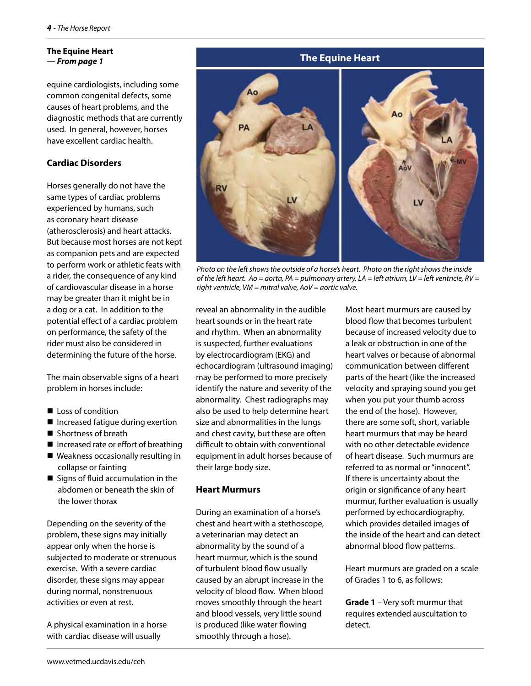#### **The Equine Heart** *— From page 1*

equine cardiologists, including some common congenital defects, some causes of heart problems, and the diagnostic methods that are currently used. In general, however, horses have excellent cardiac health.

### **Cardiac Disorders**

Horses generally do not have the same types of cardiac problems experienced by humans, such as coronary heart disease (atherosclerosis) and heart attacks. But because most horses are not kept as companion pets and are expected to perform work or athletic feats with a rider, the consequence of any kind of cardiovascular disease in a horse may be greater than it might be in a dog or a cat. In addition to the potential effect of a cardiac problem on performance, the safety of the rider must also be considered in determining the future of the horse.

The main observable signs of a heart problem in horses include:

- Loss of condition
- Increased fatigue during exertion
- Shortness of breath
- Increased rate or effort of breathing
- Weakness occasionally resulting in collapse or fainting
- $\blacksquare$  Signs of fluid accumulation in the abdomen or beneath the skin of the lower thorax

Depending on the severity of the problem, these signs may initially appear only when the horse is subjected to moderate or strenuous exercise. With a severe cardiac disorder, these signs may appear during normal, nonstrenuous activities or even at rest.

A physical examination in a horse with cardiac disease will usually

reveal an abnormality in the audible heart sounds or in the heart rate and rhythm. When an abnormality is suspected, further evaluations by electrocardiogram (EKG) and echocardiogram (ultrasound imaging) may be performed to more precisely identify the nature and severity of the abnormality. Chest radiographs may also be used to help determine heart size and abnormalities in the lungs and chest cavity, but these are often difficult to obtain with conventional equipment in adult horses because of their large body size.

### **Heart Murmurs**

During an examination of a horse's chest and heart with a stethoscope, a veterinarian may detect an abnormality by the sound of a heart murmur, which is the sound of turbulent blood flow usually caused by an abrupt increase in the velocity of blood flow. When blood moves smoothly through the heart and blood vessels, very little sound is produced (like water flowing smoothly through a hose).

Most heart murmurs are caused by blood flow that becomes turbulent because of increased velocity due to a leak or obstruction in one of the heart valves or because of abnormal communication between different parts of the heart (like the increased velocity and spraying sound you get when you put your thumb across the end of the hose). However, there are some soft, short, variable heart murmurs that may be heard with no other detectable evidence of heart disease. Such murmurs are referred to as normal or "innocent". If there is uncertainty about the origin or significance of any heart murmur, further evaluation is usually performed by echocardiography, which provides detailed images of the inside of the heart and can detect abnormal blood flow patterns.

Heart murmurs are graded on a scale of Grades 1 to 6, as follows:

**Grade 1** – Very soft murmur that requires extended auscultation to detect.



*Photo on the left shows the outside of a horse's heart. Photo on the right shows the inside of the left heart. Ao = aorta, PA = pulmonary artery, LA = left atrium, LV = left ventricle, RV = right ventricle, VM = mitral valve, AoV = aortic valve.*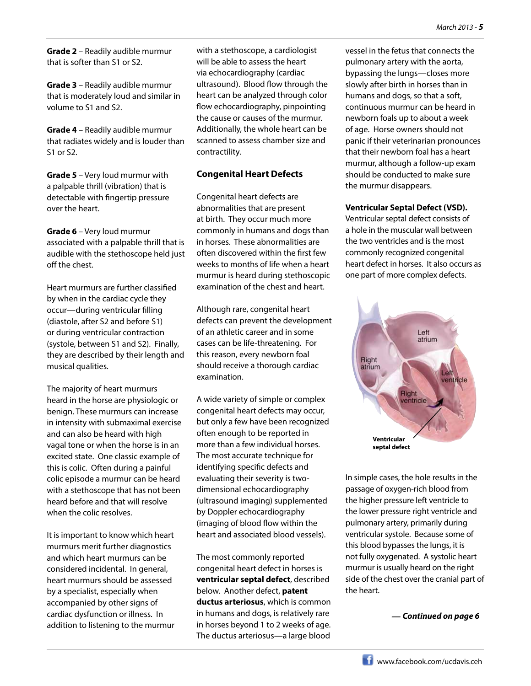**Grade 2** – Readily audible murmur that is softer than S1 or S2.

**Grade 3** – Readily audible murmur that is moderately loud and similar in volume to S1 and S2.

**Grade 4** – Readily audible murmur that radiates widely and is louder than S1 or S2.

**Grade 5** – Very loud murmur with a palpable thrill (vibration) that is detectable with fingertip pressure over the heart.

**Grade 6** – Very loud murmur associated with a palpable thrill that is audible with the stethoscope held just off the chest.

Heart murmurs are further classified by when in the cardiac cycle they occur—during ventricular filling (diastole, after S2 and before S1) or during ventricular contraction (systole, between S1 and S2). Finally, they are described by their length and musical qualities.

The majority of heart murmurs heard in the horse are physiologic or benign. These murmurs can increase in intensity with submaximal exercise and can also be heard with high vagal tone or when the horse is in an excited state. One classic example of this is colic. Often during a painful colic episode a murmur can be heard with a stethoscope that has not been heard before and that will resolve when the colic resolves.

It is important to know which heart murmurs merit further diagnostics and which heart murmurs can be considered incidental. In general, heart murmurs should be assessed by a specialist, especially when accompanied by other signs of cardiac dysfunction or illness. In addition to listening to the murmur with a stethoscope, a cardiologist will be able to assess the heart via echocardiography (cardiac ultrasound). Blood flow through the heart can be analyzed through color flow echocardiography, pinpointing the cause or causes of the murmur. Additionally, the whole heart can be scanned to assess chamber size and contractility.

### **Congenital Heart Defects**

Congenital heart defects are abnormalities that are present at birth. They occur much more commonly in humans and dogs than in horses. These abnormalities are often discovered within the first few weeks to months of life when a heart murmur is heard during stethoscopic examination of the chest and heart.

Although rare, congenital heart defects can prevent the development of an athletic career and in some cases can be life-threatening. For this reason, every newborn foal should receive a thorough cardiac examination.

A wide variety of simple or complex congenital heart defects may occur, but only a few have been recognized often enough to be reported in more than a few individual horses. The most accurate technique for identifying specific defects and evaluating their severity is twodimensional echocardiography (ultrasound imaging) supplemented by Doppler echocardiography (imaging of blood flow within the heart and associated blood vessels).

The most commonly reported congenital heart defect in horses is **ventricular septal defect**, described below. Another defect, **patent ductus arteriosus**, which is common in humans and dogs, is relatively rare in horses beyond 1 to 2 weeks of age. The ductus arteriosus—a large blood

vessel in the fetus that connects the pulmonary artery with the aorta, bypassing the lungs—closes more slowly after birth in horses than in humans and dogs, so that a soft, continuous murmur can be heard in newborn foals up to about a week of age. Horse owners should not panic if their veterinarian pronounces that their newborn foal has a heart murmur, although a follow-up exam should be conducted to make sure the murmur disappears.

#### **Ventricular Septal Defect (VSD).**

Ventricular septal defect consists of a hole in the muscular wall between the two ventricles and is the most commonly recognized congenital heart defect in horses. It also occurs as one part of more complex defects.



In simple cases, the hole results in the passage of oxygen-rich blood from the higher pressure left ventricle to the lower pressure right ventricle and pulmonary artery, primarily during ventricular systole. Because some of this blood bypasses the lungs, it is not fully oxygenated. A systolic heart murmur is usually heard on the right side of the chest over the cranial part of the heart.

*— Continued on page 6*

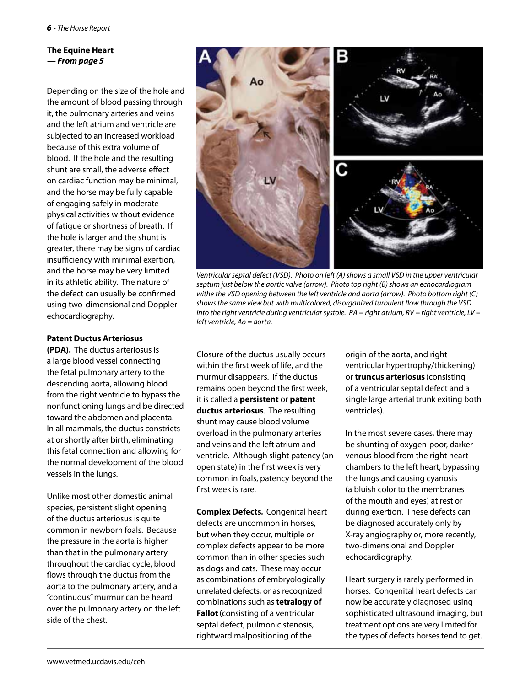#### **The Equine Heart** *— From page 5*

Depending on the size of the hole and the amount of blood passing through it, the pulmonary arteries and veins and the left atrium and ventricle are subjected to an increased workload because of this extra volume of blood. If the hole and the resulting shunt are small, the adverse effect on cardiac function may be minimal, and the horse may be fully capable of engaging safely in moderate physical activities without evidence of fatigue or shortness of breath. If the hole is larger and the shunt is greater, there may be signs of cardiac insufficiency with minimal exertion, and the horse may be very limited in its athletic ability. The nature of the defect can usually be confirmed using two-dimensional and Doppler echocardiography.

#### **Patent Ductus Arteriosus**

**(PDA).** The ductus arteriosus is a large blood vessel connecting the fetal pulmonary artery to the descending aorta, allowing blood from the right ventricle to bypass the nonfunctioning lungs and be directed toward the abdomen and placenta. In all mammals, the ductus constricts at or shortly after birth, eliminating this fetal connection and allowing for the normal development of the blood vessels in the lungs.

Unlike most other domestic animal species, persistent slight opening of the ductus arteriosus is quite common in newborn foals. Because the pressure in the aorta is higher than that in the pulmonary artery throughout the cardiac cycle, blood flows through the ductus from the aorta to the pulmonary artery, and a "continuous" murmur can be heard over the pulmonary artery on the left side of the chest.



*Ventricular septal defect (VSD). Photo on left (A) shows a small VSD in the upper ventricular septum just below the aortic valve (arrow). Photo top right (B) shows an echocardiogram withe the VSD opening between the left ventricle and aorta (arrow). Photo bottom right (C) shows the same view but with multicolored, disorganized turbulent flow through the VSD into the right ventricle during ventricular systole. RA = right atrium, RV = right ventricle, LV = left ventricle, Ao = aorta.* 

Closure of the ductus usually occurs within the first week of life, and the murmur disappears. If the ductus remains open beyond the first week, it is called a **persistent** or **patent ductus arteriosus**. The resulting shunt may cause blood volume overload in the pulmonary arteries and veins and the left atrium and ventricle. Although slight patency (an open state) in the first week is very common in foals, patency beyond the first week is rare.

**Complex Defects***.* Congenital heart defects are uncommon in horses, but when they occur, multiple or complex defects appear to be more common than in other species such as dogs and cats. These may occur as combinations of embryologically unrelated defects, or as recognized combinations such as **tetralogy of Fallot**(consisting of a ventricular septal defect, pulmonic stenosis, rightward malpositioning of the

origin of the aorta, and right ventricular hypertrophy/thickening) or **truncus arteriosus** (consisting of a ventricular septal defect and a single large arterial trunk exiting both ventricles).

In the most severe cases, there may be shunting of oxygen-poor, darker venous blood from the right heart chambers to the left heart, bypassing the lungs and causing cyanosis (a bluish color to the membranes of the mouth and eyes) at rest or during exertion. These defects can be diagnosed accurately only by X-ray angiography or, more recently, two-dimensional and Doppler echocardiography.

Heart surgery is rarely performed in horses. Congenital heart defects can now be accurately diagnosed using sophisticated ultrasound imaging, but treatment options are very limited for the types of defects horses tend to get.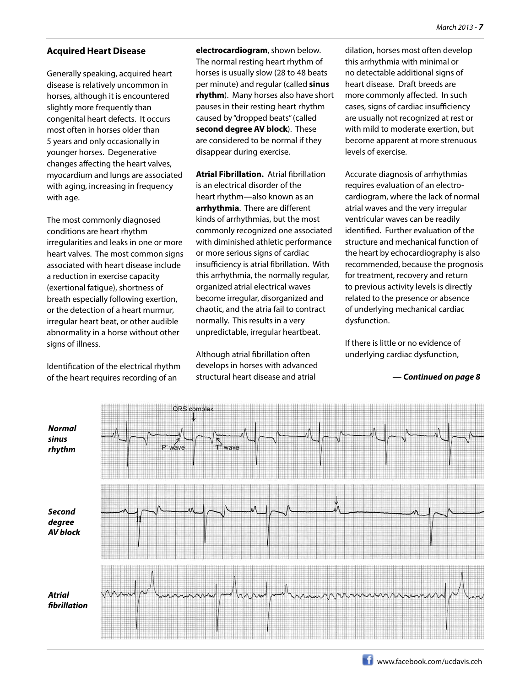#### **Acquired Heart Disease**

Generally speaking, acquired heart disease is relatively uncommon in horses, although it is encountered slightly more frequently than congenital heart defects. It occurs most often in horses older than 5 years and only occasionally in younger horses. Degenerative changes affecting the heart valves, myocardium and lungs are associated with aging, increasing in frequency with age.

The most commonly diagnosed conditions are heart rhythm irregularities and leaks in one or more heart valves. The most common signs associated with heart disease include a reduction in exercise capacity (exertional fatigue), shortness of breath especially following exertion, or the detection of a heart murmur, irregular heart beat, or other audible abnormality in a horse without other signs of illness.

Identification of the electrical rhythm of the heart requires recording of an

**electrocardiogram**, shown below. The normal resting heart rhythm of horses is usually slow (28 to 48 beats per minute) and regular (called **sinus rhythm**). Many horses also have short pauses in their resting heart rhythm caused by "dropped beats" (called **second degree AV block**). These are considered to be normal if they disappear during exercise.

**Atrial Fibrillation.** Atrial fibrillation is an electrical disorder of the heart rhythm—also known as an **arrhythmia**. There are different kinds of arrhythmias, but the most commonly recognized one associated with diminished athletic performance or more serious signs of cardiac insufficiency is atrial fibrillation. With this arrhythmia, the normally regular, organized atrial electrical waves become irregular, disorganized and chaotic, and the atria fail to contract normally. This results in a very unpredictable, irregular heartbeat.

Although atrial fibrillation often develops in horses with advanced structural heart disease and atrial

dilation, horses most often develop this arrhythmia with minimal or no detectable additional signs of heart disease. Draft breeds are more commonly affected. In such cases, signs of cardiac insufficiency are usually not recognized at rest or with mild to moderate exertion, but become apparent at more strenuous levels of exercise.

Accurate diagnosis of arrhythmias requires evaluation of an electrocardiogram, where the lack of normal atrial waves and the very irregular ventricular waves can be readily identified. Further evaluation of the structure and mechanical function of the heart by echocardiography is also recommended, because the prognosis for treatment, recovery and return to previous activity levels is directly related to the presence or absence of underlying mechanical cardiac dysfunction.

If there is little or no evidence of underlying cardiac dysfunction,

*— Continued on page 8*



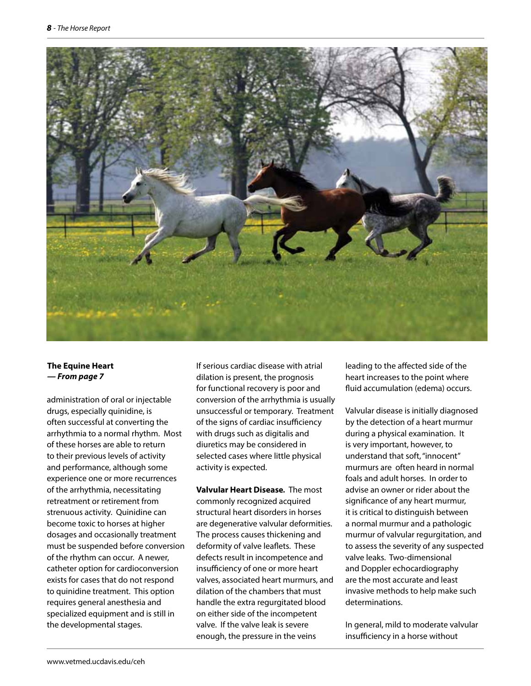

#### **The Equine Heart** *— From page 7*

administration of oral or injectable drugs, especially quinidine, is often successful at converting the arrhythmia to a normal rhythm. Most of these horses are able to return to their previous levels of activity and performance, although some experience one or more recurrences of the arrhythmia, necessitating retreatment or retirement from strenuous activity. Quinidine can become toxic to horses at higher dosages and occasionally treatment must be suspended before conversion of the rhythm can occur. A newer, catheter option for cardioconversion exists for cases that do not respond to quinidine treatment. This option requires general anesthesia and specialized equipment and is still in the developmental stages.

If serious cardiac disease with atrial dilation is present, the prognosis for functional recovery is poor and conversion of the arrhythmia is usually unsuccessful or temporary. Treatment of the signs of cardiac insufficiency with drugs such as digitalis and diuretics may be considered in selected cases where little physical activity is expected.

**Valvular Heart Disease***.* The most commonly recognized acquired structural heart disorders in horses are degenerative valvular deformities. The process causes thickening and deformity of valve leaflets. These defects result in incompetence and insufficiency of one or more heart valves, associated heart murmurs, and dilation of the chambers that must handle the extra regurgitated blood on either side of the incompetent valve. If the valve leak is severe enough, the pressure in the veins

leading to the affected side of the heart increases to the point where fluid accumulation (edema) occurs.

Valvular disease is initially diagnosed by the detection of a heart murmur during a physical examination. It is very important, however, to understand that soft, "innocent" murmurs are often heard in normal foals and adult horses. In order to advise an owner or rider about the significance of any heart murmur, it is critical to distinguish between a normal murmur and a pathologic murmur of valvular regurgitation, and to assess the severity of any suspected valve leaks. Two-dimensional and Doppler echocardiography are the most accurate and least invasive methods to help make such determinations.

In general, mild to moderate valvular insufficiency in a horse without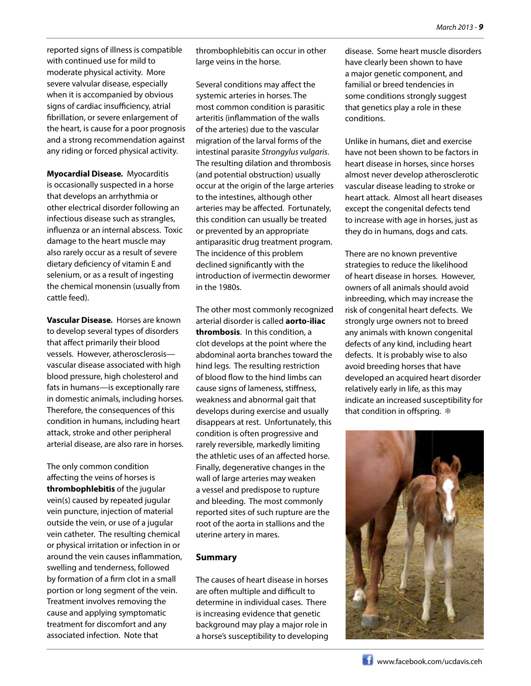reported signs of illness is compatible with continued use for mild to moderate physical activity. More severe valvular disease, especially when it is accompanied by obvious signs of cardiac insufficiency, atrial fibrillation, or severe enlargement of the heart, is cause for a poor prognosis and a strong recommendation against any riding or forced physical activity.

**Myocardial Disease***.* Myocarditis is occasionally suspected in a horse that develops an arrhythmia or other electrical disorder following an infectious disease such as strangles, influenza or an internal abscess. Toxic damage to the heart muscle may also rarely occur as a result of severe dietary deficiency of vitamin E and selenium, or as a result of ingesting the chemical monensin (usually from cattle feed).

**Vascular Disease***.* Horses are known to develop several types of disorders that affect primarily their blood vessels. However, atherosclerosis vascular disease associated with high blood pressure, high cholesterol and fats in humans—is exceptionally rare in domestic animals, including horses. Therefore, the consequences of this condition in humans, including heart attack, stroke and other peripheral arterial disease, are also rare in horses.

The only common condition affecting the veins of horses is **thrombophlebitis** of the jugular vein(s) caused by repeated jugular vein puncture, injection of material outside the vein, or use of a jugular vein catheter. The resulting chemical or physical irritation or infection in or around the vein causes inflammation, swelling and tenderness, followed by formation of a firm clot in a small portion or long segment of the vein. Treatment involves removing the cause and applying symptomatic treatment for discomfort and any associated infection. Note that

thrombophlebitis can occur in other large veins in the horse.

Several conditions may affect the systemic arteries in horses. The most common condition is parasitic arteritis (inflammation of the walls of the arteries) due to the vascular migration of the larval forms of the intestinal parasite *Strongylus vulgaris*. The resulting dilation and thrombosis (and potential obstruction) usually occur at the origin of the large arteries to the intestines, although other arteries may be affected. Fortunately, this condition can usually be treated or prevented by an appropriate antiparasitic drug treatment program. The incidence of this problem declined significantly with the introduction of ivermectin dewormer in the 1980s.

The other most commonly recognized arterial disorder is called **aorto-iliac thrombosis**. In this condition, a clot develops at the point where the abdominal aorta branches toward the hind legs. The resulting restriction of blood flow to the hind limbs can cause signs of lameness, stiffness, weakness and abnormal gait that develops during exercise and usually disappears at rest. Unfortunately, this condition is often progressive and rarely reversible, markedly limiting the athletic uses of an affected horse. Finally, degenerative changes in the wall of large arteries may weaken a vessel and predispose to rupture and bleeding. The most commonly reported sites of such rupture are the root of the aorta in stallions and the uterine artery in mares.

#### **Summary**

The causes of heart disease in horses are often multiple and difficult to determine in individual cases. There is increasing evidence that genetic background may play a major role in a horse's susceptibility to developing

disease. Some heart muscle disorders have clearly been shown to have a major genetic component, and familial or breed tendencies in some conditions strongly suggest that genetics play a role in these conditions.

Unlike in humans, diet and exercise have not been shown to be factors in heart disease in horses, since horses almost never develop atherosclerotic vascular disease leading to stroke or heart attack. Almost all heart diseases except the congenital defects tend to increase with age in horses, just as they do in humans, dogs and cats.

There are no known preventive strategies to reduce the likelihood of heart disease in horses. However, owners of all animals should avoid inbreeding, which may increase the risk of congenital heart defects. We strongly urge owners not to breed any animals with known congenital defects of any kind, including heart defects. It is probably wise to also avoid breeding horses that have developed an acquired heart disorder relatively early in life, as this may indicate an increased susceptibility for that condition in offspring. ❄



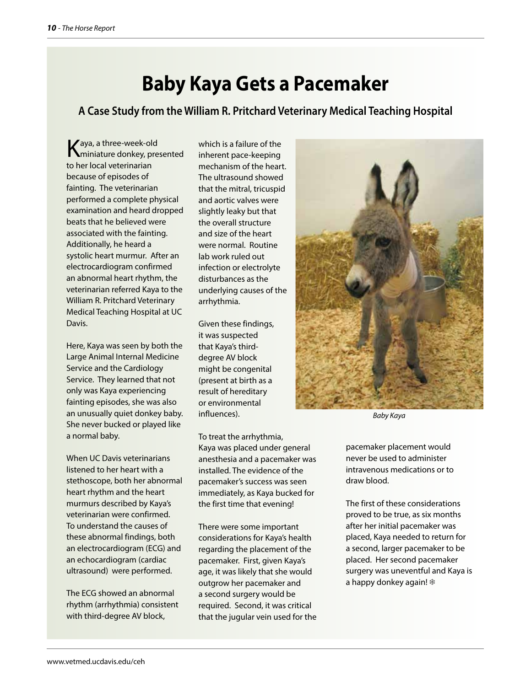# **Baby Kaya Gets a Pacemaker**

## **A Case Study from the William R. Pritchard Veterinary Medical Teaching Hospital**

Aaya, a three-week-old miniature donkey, presented to her local veterinarian because of episodes of fainting. The veterinarian performed a complete physical examination and heard dropped beats that he believed were associated with the fainting. Additionally, he heard a systolic heart murmur. After an electrocardiogram confirmed an abnormal heart rhythm, the veterinarian referred Kaya to the William R. Pritchard Veterinary Medical Teaching Hospital at UC Davis.

Here, Kaya was seen by both the Large Animal Internal Medicine Service and the Cardiology Service. They learned that not only was Kaya experiencing fainting episodes, she was also an unusually quiet donkey baby. She never bucked or played like a normal baby.

When UC Davis veterinarians listened to her heart with a stethoscope, both her abnormal heart rhythm and the heart murmurs described by Kaya's veterinarian were confirmed. To understand the causes of these abnormal findings, both an electrocardiogram (ECG) and an echocardiogram (cardiac ultrasound) were performed.

The ECG showed an abnormal rhythm (arrhythmia) consistent with third-degree AV block,

which is a failure of the inherent pace-keeping mechanism of the heart. The ultrasound showed that the mitral, tricuspid and aortic valves were slightly leaky but that the overall structure and size of the heart were normal. Routine lab work ruled out infection or electrolyte disturbances as the underlying causes of the arrhythmia.

Given these findings, it was suspected that Kaya's thirddegree AV block might be congenital (present at birth as a result of hereditary or environmental influences).

To treat the arrhythmia, Kaya was placed under general anesthesia and a pacemaker was installed. The evidence of the pacemaker's success was seen immediately, as Kaya bucked for the first time that evening!

There were some important considerations for Kaya's health regarding the placement of the pacemaker. First, given Kaya's age, it was likely that she would outgrow her pacemaker and a second surgery would be required. Second, it was critical that the jugular vein used for the



*Baby Kaya*

pacemaker placement would never be used to administer intravenous medications or to draw blood.

The first of these considerations proved to be true, as six months after her initial pacemaker was placed, Kaya needed to return for a second, larger pacemaker to be placed. Her second pacemaker surgery was uneventful and Kaya is a happy donkey again! ❄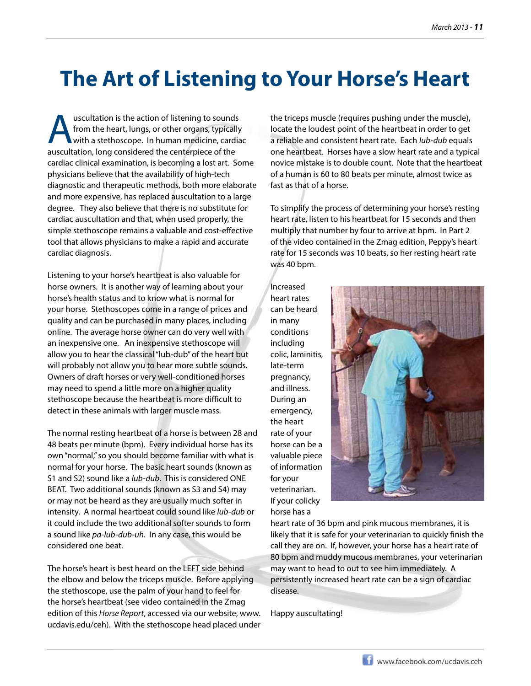# **The Art of Listening to Your Horse's Heart**

uscultation is the action of listening to sounds from the heart, lungs, or other organs, typically with a stethoscope. In human medicine, cardiac auscultation, long considered the centerpiece of the cardiac clinical examination, is becoming a lost art. Some physicians believe that the availability of high-tech diagnostic and therapeutic methods, both more elaborate and more expensive, has replaced auscultation to a large degree. They also believe that there is no substitute for cardiac auscultation and that, when used properly, the simple stethoscope remains a valuable and cost-effective tool that allows physicians to make a rapid and accurate cardiac diagnosis.

Listening to your horse's heartbeat is also valuable for horse owners. It is another way of learning about your horse's health status and to know what is normal for your horse. Stethoscopes come in a range of prices and quality and can be purchased in many places, including online. The average horse owner can do very well with an inexpensive one. An inexpensive stethoscope will allow you to hear the classical "lub-dub" of the heart but will probably not allow you to hear more subtle sounds. Owners of draft horses or very well-conditioned horses may need to spend a little more on a higher quality stethoscope because the heartbeat is more difficult to detect in these animals with larger muscle mass.

The normal resting heartbeat of a horse is between 28 and 48 beats per minute (bpm). Every individual horse has its own "normal," so you should become familiar with what is normal for your horse. The basic heart sounds (known as S1 and S2) sound like a *lub-dub*. This is considered ONE BEAT. Two additional sounds (known as S3 and S4) may or may not be heard as they are usually much softer in intensity. A normal heartbeat could sound like *lub-dub* or it could include the two additional softer sounds to form a sound like *pa-lub-dub-uh*. In any case, this would be considered one beat.

The horse's heart is best heard on the LEFT side behind the elbow and below the triceps muscle. Before applying the stethoscope, use the palm of your hand to feel for the horse's heartbeat (see video contained in the Zmag edition of this *Horse Report*, accessed via our website, www. ucdavis.edu/ceh). With the stethoscope head placed under

the triceps muscle (requires pushing under the muscle), locate the loudest point of the heartbeat in order to get a reliable and consistent heart rate. Each *lub-dub* equals one heartbeat. Horses have a slow heart rate and a typical novice mistake is to double count. Note that the heartbeat of a human is 60 to 80 beats per minute, almost twice as fast as that of a horse.

To simplify the process of determining your horse's resting heart rate, listen to his heartbeat for 15 seconds and then multiply that number by four to arrive at bpm. In Part 2 of the video contained in the Zmag edition, Peppy's heart rate for 15 seconds was 10 beats, so her resting heart rate was 40 bpm.

Increased heart rates can be heard in many conditions including colic, laminitis, late-term pregnancy, and illness. During an emergency, the heart rate of your horse can be a valuable piece of information for your veterinarian. If your colicky horse has a



heart rate of 36 bpm and pink mucous membranes, it is likely that it is safe for your veterinarian to quickly finish the call they are on. If, however, your horse has a heart rate of 80 bpm and muddy mucous membranes, your veterinarian may want to head to out to see him immediately. A persistently increased heart rate can be a sign of cardiac disease.

Happy auscultating!

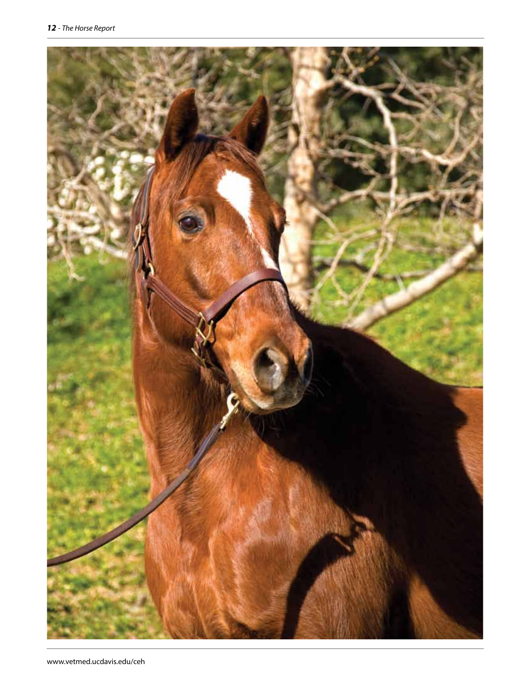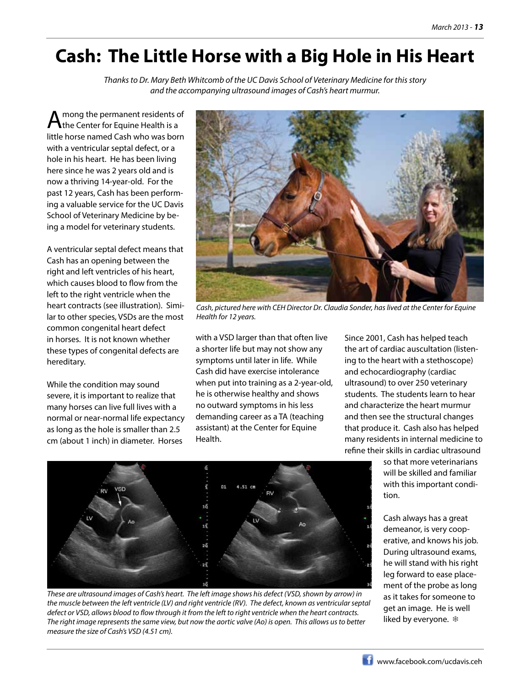# **Cash: The Little Horse with a Big Hole in His Heart**

*Thanks to Dr. Mary Beth Whitcomb of the UC Davis School of Veterinary Medicine for this story and the accompanying ultrasound images of Cash's heart murmur.*

mong the permanent residents of **1.** The Center for Equine Health is a little horse named Cash who was born with a ventricular septal defect, or a hole in his heart. He has been living here since he was 2 years old and is now a thriving 14-year-old. For the past 12 years, Cash has been performing a valuable service for the UC Davis School of Veterinary Medicine by being a model for veterinary students.

A ventricular septal defect means that Cash has an opening between the right and left ventricles of his heart, which causes blood to flow from the left to the right ventricle when the heart contracts (see illustration). Similar to other species, VSDs are the most common congenital heart defect in horses. It is not known whether these types of congenital defects are hereditary.

While the condition may sound severe, it is important to realize that many horses can live full lives with a normal or near-normal life expectancy as long as the hole is smaller than 2.5 cm (about 1 inch) in diameter. Horses



*Cash, pictured here with CEH Director Dr. Claudia Sonder, has lived at the Center for Equine Health for 12 years.*

with a VSD larger than that often live a shorter life but may not show any symptoms until later in life. While Cash did have exercise intolerance when put into training as a 2-year-old, he is otherwise healthy and shows no outward symptoms in his less demanding career as a TA (teaching assistant) at the Center for Equine Health.

Since 2001, Cash has helped teach the art of cardiac auscultation (listening to the heart with a stethoscope) and echocardiography (cardiac ultrasound) to over 250 veterinary students. The students learn to hear and characterize the heart murmur and then see the structural changes that produce it. Cash also has helped many residents in internal medicine to refine their skills in cardiac ultrasound

so that more veterinarians will be skilled and familiar with this important condition.

Cash always has a great demeanor, is very cooperative, and knows his job. During ultrasound exams, he will stand with his right leg forward to ease placement of the probe as long as it takes for someone to get an image. He is well liked by everyone. ❄



*These are ultrasound images of Cash's heart. The left image shows his defect (VSD, shown by arrow) in the muscle between the left ventricle (LV) and right ventricle (RV). The defect, known as ventricular septal defect or VSD, allows blood to flow through it from the left to right ventricle when the heart contracts. The right image represents the same view, but now the aortic valve (Ao) is open. This allows us to better measure the size of Cash's VSD (4.51 cm).* 

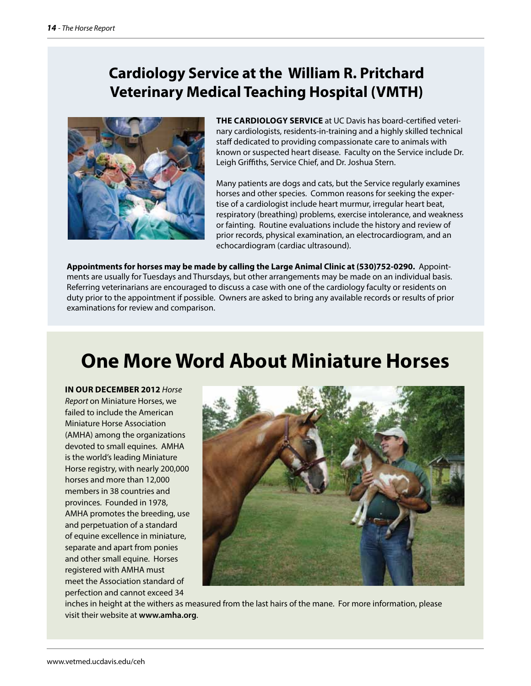## **Cardiology Service at the William R. Pritchard Veterinary Medical Teaching Hospital (VMTH)**



**The Cardiology Service** at UC Davis has board-certified veterinary cardiologists, residents-in-training and a highly skilled technical staff dedicated to providing compassionate care to animals with known or suspected heart disease. Faculty on the Service include Dr. Leigh Griffiths, Service Chief, and Dr. Joshua Stern.

Many patients are dogs and cats, but the Service regularly examines horses and other species. Common reasons for seeking the expertise of a cardiologist include heart murmur, irregular heart beat, respiratory (breathing) problems, exercise intolerance, and weakness or fainting. Routine evaluations include the history and review of prior records, physical examination, an electrocardiogram, and an echocardiogram (cardiac ultrasound).

**Appointments for horses may be made by calling the Large Animal Clinic at (530)752-0290.** Appointments are usually for Tuesdays and Thursdays, but other arrangements may be made on an individual basis. Referring veterinarians are encouraged to discuss a case with one of the cardiology faculty or residents on duty prior to the appointment if possible. Owners are asked to bring any available records or results of prior examinations for review and comparison.

# **One More Word About Miniature Horses**

**In our December 2012** *Horse Report* on Miniature Horses, we failed to include the American Miniature Horse Association (AMHA) among the organizations devoted to small equines. AMHA is the world's leading Miniature Horse registry, with nearly 200,000 horses and more than 12,000 members in 38 countries and provinces. Founded in 1978, AMHA promotes the breeding, use and perpetuation of a standard of equine excellence in miniature, separate and apart from ponies and other small equine. Horses registered with AMHA must meet the Association standard of perfection and cannot exceed 34



inches in height at the withers as measured from the last hairs of the mane. For more information, please visit their website at **www.amha.org**.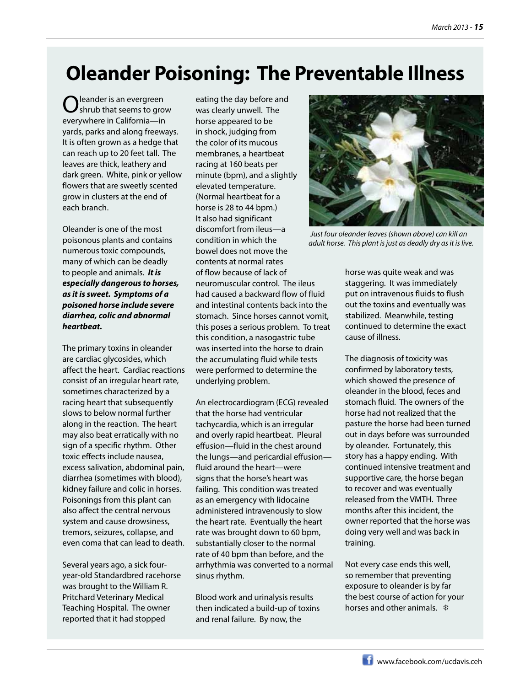# **Oleander Poisoning: The Preventable Illness**

leander is an evergreen shrub that seems to grow everywhere in California—in yards, parks and along freeways. It is often grown as a hedge that can reach up to 20 feet tall. The leaves are thick, leathery and dark green. White, pink or yellow flowers that are sweetly scented grow in clusters at the end of each branch.

Oleander is one of the most poisonous plants and contains numerous toxic compounds, many of which can be deadly to people and animals. *It is especially dangerous to horses, as it is sweet. Symptoms of a poisoned horse include severe diarrhea, colic and abnormal heartbeat.* 

The primary toxins in oleander are cardiac glycosides, which affect the heart. Cardiac reactions consist of an irregular heart rate, sometimes characterized by a racing heart that subsequently slows to below normal further along in the reaction. The heart may also beat erratically with no sign of a specific rhythm. Other toxic effects include nausea, excess salivation, abdominal pain, diarrhea (sometimes with blood), kidney failure and colic in horses. Poisonings from this plant can also affect the central nervous system and cause drowsiness, tremors, seizures, collapse, and even coma that can lead to death.

Several years ago, a sick fouryear-old Standardbred racehorse was brought to the William R. Pritchard Veterinary Medical Teaching Hospital. The owner reported that it had stopped

eating the day before and was clearly unwell. The horse appeared to be in shock, judging from the color of its mucous membranes, a heartbeat racing at 160 beats per minute (bpm), and a slightly elevated temperature. (Normal heartbeat for a horse is 28 to 44 bpm.) It also had significant discomfort from ileus—a condition in which the bowel does not move the contents at normal rates of flow because of lack of neuromuscular control. The ileus had caused a backward flow of fluid and intestinal contents back into the stomach. Since horses cannot vomit, this poses a serious problem. To treat this condition, a nasogastric tube was inserted into the horse to drain the accumulating fluid while tests were performed to determine the underlying problem.

An electrocardiogram (ECG) revealed that the horse had ventricular tachycardia, which is an irregular and overly rapid heartbeat. Pleural effusion—fluid in the chest around the lungs—and pericardial effusion fluid around the heart—were signs that the horse's heart was failing. This condition was treated as an emergency with lidocaine administered intravenously to slow the heart rate. Eventually the heart rate was brought down to 60 bpm, substantially closer to the normal rate of 40 bpm than before, and the arrhythmia was converted to a normal sinus rhythm.

Blood work and urinalysis results then indicated a build-up of toxins and renal failure. By now, the



*Just four oleander leaves (shown above) can kill an adult horse. This plant is just as deadly dry as it is live.*

horse was quite weak and was staggering. It was immediately put on intravenous fluids to flush out the toxins and eventually was stabilized. Meanwhile, testing continued to determine the exact cause of illness.

The diagnosis of toxicity was confirmed by laboratory tests, which showed the presence of oleander in the blood, feces and stomach fluid. The owners of the horse had not realized that the pasture the horse had been turned out in days before was surrounded by oleander. Fortunately, this story has a happy ending. With continued intensive treatment and supportive care, the horse began to recover and was eventually released from the VMTH. Three months after this incident, the owner reported that the horse was doing very well and was back in training.

Not every case ends this well, so remember that preventing exposure to oleander is by far the best course of action for your horses and other animals. ❄